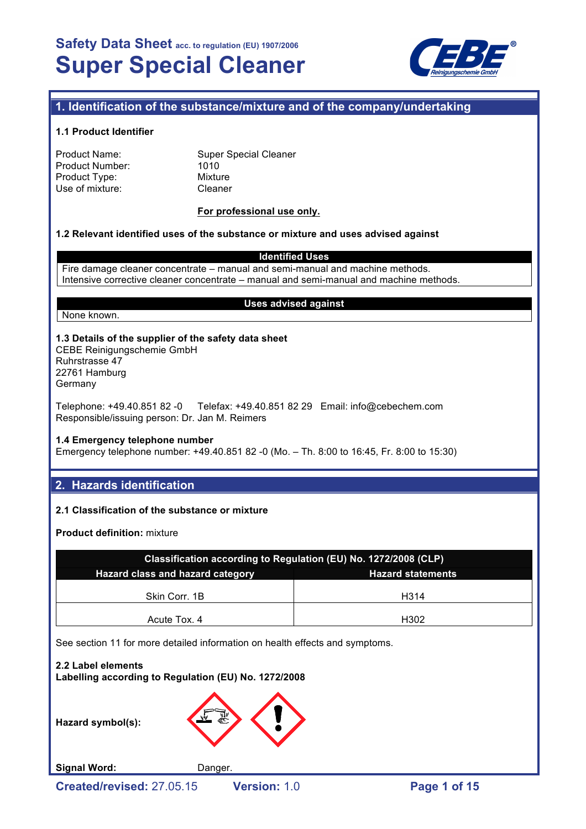

## **1. Identification of the substance/mixture and of the company/undertaking**

### **1.1 Product Identifier**

| Product Name:          |  |
|------------------------|--|
| <b>Product Number:</b> |  |
| Product Type:          |  |
| Use of mixture:        |  |

**Super Special Cleaner**  $1010$ **Mixture** Cleaner

### **For professional use only.**

### **1.2 Relevant identified uses of the substance or mixture and uses advised against**

**Identified Uses**

Fire damage cleaner concentrate – manual and semi-manual and machine methods. Intensive corrective cleaner concentrate – manual and semi-manual and machine methods.

#### **Uses advised against**

None known.

## **1.3 Details of the supplier of the safety data sheet**

CEBE Reinigungschemie GmbH Ruhrstrasse 47 22761 Hamburg Germany

Telephone: +49.40.851 82 -0 Telefax: +49.40.851 82 29 Email: info@cebechem.com Responsible/issuing person: Dr. Jan M. Reimers

#### **1.4 Emergency telephone number**

Emergency telephone number: +49.40.851 82 -0 (Mo. – Th. 8:00 to 16:45, Fr. 8:00 to 15:30)

## **2. Hazards identification**

### **2.1 Classification of the substance or mixture**

**Product definition:** mixture

| Classification according to Regulation (EU) No. 1272/2008 (CLP) |      |  |  |  |
|-----------------------------------------------------------------|------|--|--|--|
| Hazard class and hazard category<br><b>Hazard statements</b>    |      |  |  |  |
|                                                                 |      |  |  |  |
| Skin Corr. 1B                                                   | H314 |  |  |  |
| Acute Tox, 4                                                    | H302 |  |  |  |

See section 11 for more detailed information on health effects and symptoms.

**2.2 Label elements Labelling according to Regulation (EU) No. 1272/2008**

**Hazard symbol(s):**



Signal Word: Danger.

**Created/revised:** 27.05.15 **Version:** 1.0 **Page 1 of 15**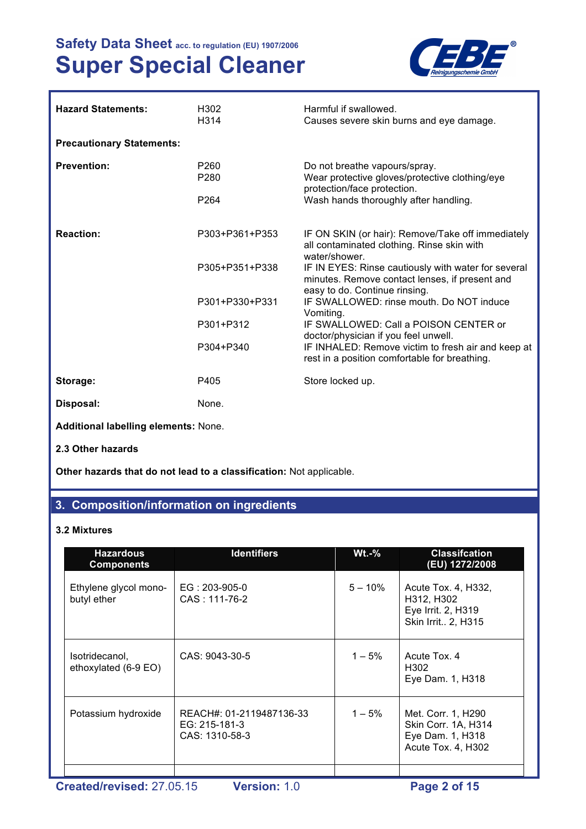

| <b>Hazard Statements:</b>                   | H <sub>302</sub><br>H314             | Harmful if swallowed.<br>Causes severe skin burns and eye damage.                                                                      |
|---------------------------------------------|--------------------------------------|----------------------------------------------------------------------------------------------------------------------------------------|
| <b>Precautionary Statements:</b>            |                                      |                                                                                                                                        |
| <b>Prevention:</b>                          | P <sub>260</sub><br>P <sub>280</sub> | Do not breathe vapours/spray.<br>Wear protective gloves/protective clothing/eye<br>protection/face protection.                         |
|                                             | P <sub>264</sub>                     | Wash hands thoroughly after handling.                                                                                                  |
| <b>Reaction:</b>                            | P303+P361+P353                       | IF ON SKIN (or hair): Remove/Take off immediately<br>all contaminated clothing. Rinse skin with<br>water/shower.                       |
|                                             | P305+P351+P338                       | IF IN EYES: Rinse cautiously with water for several<br>minutes. Remove contact lenses, if present and<br>easy to do. Continue rinsing. |
|                                             | P301+P330+P331                       | IF SWALLOWED: rinse mouth. Do NOT induce<br>Vomiting.                                                                                  |
|                                             | P301+P312                            | IF SWALLOWED: Call a POISON CENTER or<br>doctor/physician if you feel unwell.                                                          |
|                                             | P304+P340                            | IF INHALED: Remove victim to fresh air and keep at<br>rest in a position comfortable for breathing.                                    |
| Storage:                                    | P405                                 | Store locked up.                                                                                                                       |
| Disposal:                                   | None.                                |                                                                                                                                        |
| <b>Additional labelling elements: None.</b> |                                      |                                                                                                                                        |

**2.3 Other hazards**

**Other hazards that do not lead to a classification:** Not applicable.

# **3. Composition/information on ingredients**

## **3.2 Mixtures**

| Acute Tox. 4, H332,<br>H312, H302<br>Eye Irrit. 2, H319<br>Skin Irrit 2, H315       |
|-------------------------------------------------------------------------------------|
|                                                                                     |
| Acute Tox, 4<br>H <sub>302</sub><br>Eye Dam. 1, H318                                |
| Met. Corr. 1, H290<br>Skin Corr. 1A, H314<br>Eye Dam. 1, H318<br>Acute Tox. 4, H302 |
| $1 - 5%$                                                                            |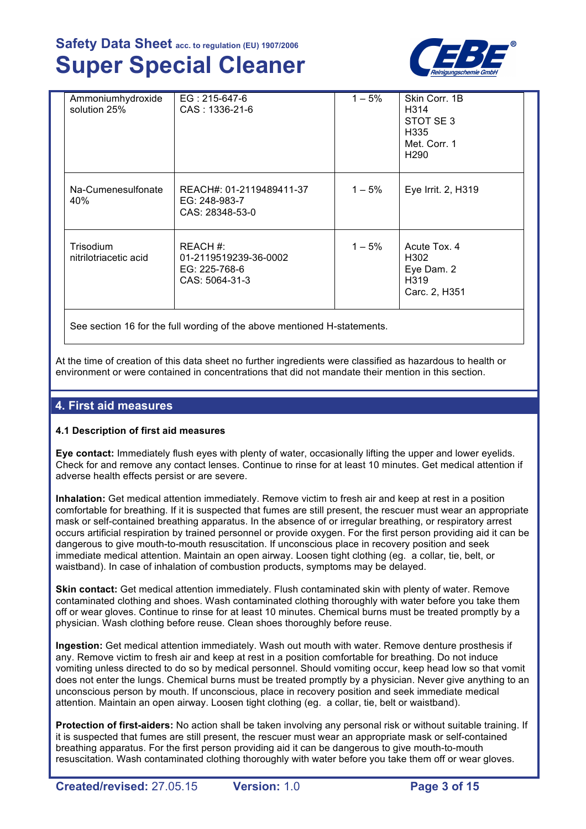

| Ammoniumhydroxide<br>solution 25%  | EG: 215-647-6<br>CAS: 1336-21-6                                      | $1 - 5%$ | Skin Corr. 1B<br>H314<br>STOT SE3<br>H335<br>Met. Corr. 1<br>H <sub>290</sub> |
|------------------------------------|----------------------------------------------------------------------|----------|-------------------------------------------------------------------------------|
| Na-Cumenesulfonate<br>40%          | REACH#: 01-2119489411-37<br>EG: 248-983-7<br>CAS: 28348-53-0         | $1 - 5%$ | Eye Irrit. 2, H319                                                            |
| Trisodium<br>nitrilotriacetic acid | REACH #:<br>01-2119519239-36-0002<br>EG: 225-768-6<br>CAS: 5064-31-3 | $1 - 5%$ | Acute Tox, 4<br>H302<br>Eye Dam. 2<br>H319<br>Carc. 2, H351                   |

See section 16 for the full wording of the above mentioned H-statements.

At the time of creation of this data sheet no further ingredients were classified as hazardous to health or environment or were contained in concentrations that did not mandate their mention in this section.

## **4. First aid measures**

## **4.1 Description of first aid measures**

**Eye contact:** Immediately flush eyes with plenty of water, occasionally lifting the upper and lower eyelids. Check for and remove any contact lenses. Continue to rinse for at least 10 minutes. Get medical attention if adverse health effects persist or are severe.

**Inhalation:** Get medical attention immediately. Remove victim to fresh air and keep at rest in a position comfortable for breathing. If it is suspected that fumes are still present, the rescuer must wear an appropriate mask or self-contained breathing apparatus. In the absence of or irregular breathing, or respiratory arrest occurs artificial respiration by trained personnel or provide oxygen. For the first person providing aid it can be dangerous to give mouth-to-mouth resuscitation. If unconscious place in recovery position and seek immediate medical attention. Maintain an open airway. Loosen tight clothing (eg. a collar, tie, belt, or waistband). In case of inhalation of combustion products, symptoms may be delayed.

**Skin contact:** Get medical attention immediately. Flush contaminated skin with plenty of water. Remove contaminated clothing and shoes. Wash contaminated clothing thoroughly with water before you take them off or wear gloves. Continue to rinse for at least 10 minutes. Chemical burns must be treated promptly by a physician. Wash clothing before reuse. Clean shoes thoroughly before reuse.

**Ingestion:** Get medical attention immediately. Wash out mouth with water. Remove denture prosthesis if any. Remove victim to fresh air and keep at rest in a position comfortable for breathing. Do not induce vomiting unless directed to do so by medical personnel. Should vomiting occur, keep head low so that vomit does not enter the lungs. Chemical burns must be treated promptly by a physician. Never give anything to an unconscious person by mouth. If unconscious, place in recovery position and seek immediate medical attention. Maintain an open airway. Loosen tight clothing (eg. a collar, tie, belt or waistband).

**Protection of first-aiders:** No action shall be taken involving any personal risk or without suitable training. If it is suspected that fumes are still present, the rescuer must wear an appropriate mask or self-contained breathing apparatus. For the first person providing aid it can be dangerous to give mouth-to-mouth resuscitation. Wash contaminated clothing thoroughly with water before you take them off or wear gloves.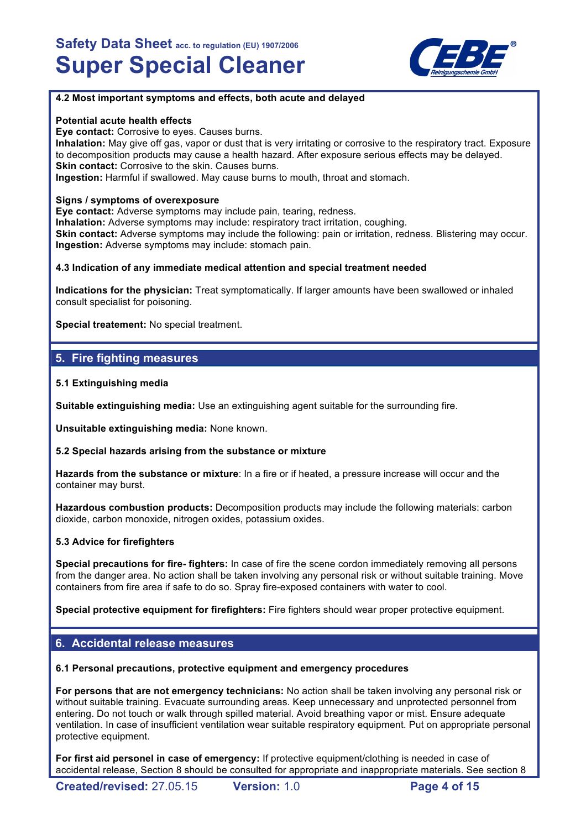

### **4.2 Most important symptoms and effects, both acute and delayed**

#### **Potential acute health effects**

**Eye contact:** Corrosive to eyes. Causes burns.

**Inhalation:** May give off gas, vapor or dust that is very irritating or corrosive to the respiratory tract. Exposure to decomposition products may cause a health hazard. After exposure serious effects may be delayed. **Skin contact:** Corrosive to the skin. Causes burns. **Ingestion:** Harmful if swallowed. May cause burns to mouth, throat and stomach.

### **Signs / symptoms of overexposure**

**Eye contact:** Adverse symptoms may include pain, tearing, redness. **Inhalation:** Adverse symptoms may include: respiratory tract irritation, coughing. **Skin contact:** Adverse symptoms may include the following: pain or irritation, redness. Blistering may occur. **Ingestion:** Adverse symptoms may include: stomach pain.

### **4.3 Indication of any immediate medical attention and special treatment needed**

**Indications for the physician:** Treat symptomatically. If larger amounts have been swallowed or inhaled consult specialist for poisoning.

**Special treatement:** No special treatment.

## **5. Fire fighting measures**

### **5.1 Extinguishing media**

**Suitable extinguishing media:** Use an extinguishing agent suitable for the surrounding fire.

**Unsuitable extinguishing media:** None known.

#### **5.2 Special hazards arising from the substance or mixture**

**Hazards from the substance or mixture**: In a fire or if heated, a pressure increase will occur and the container may burst.

**Hazardous combustion products:** Decomposition products may include the following materials: carbon dioxide, carbon monoxide, nitrogen oxides, potassium oxides.

### **5.3 Advice for firefighters**

**Special precautions for fire- fighters:** In case of fire the scene cordon immediately removing all persons from the danger area. No action shall be taken involving any personal risk or without suitable training. Move containers from fire area if safe to do so. Spray fire-exposed containers with water to cool.

**Special protective equipment for firefighters:** Fire fighters should wear proper protective equipment.

## **6. Accidental release measures**

#### **6.1 Personal precautions, protective equipment and emergency procedures**

**For persons that are not emergency technicians:** No action shall be taken involving any personal risk or without suitable training. Evacuate surrounding areas. Keep unnecessary and unprotected personnel from entering. Do not touch or walk through spilled material. Avoid breathing vapor or mist. Ensure adequate ventilation. In case of insufficient ventilation wear suitable respiratory equipment. Put on appropriate personal protective equipment.

**For first aid personel in case of emergency:** If protective equipment/clothing is needed in case of accidental release, Section 8 should be consulted for appropriate and inappropriate materials. See section 8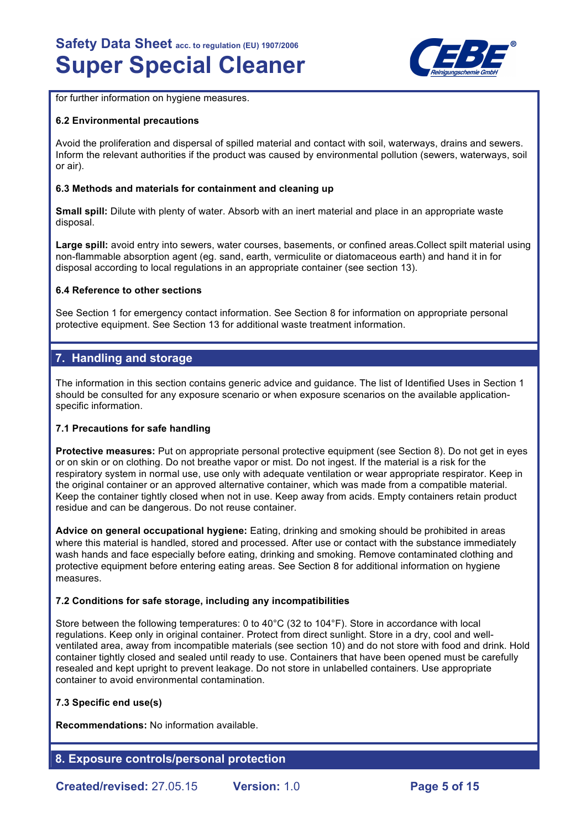

for further information on hygiene measures.

### **6.2 Environmental precautions**

Avoid the proliferation and dispersal of spilled material and contact with soil, waterways, drains and sewers. Inform the relevant authorities if the product was caused by environmental pollution (sewers, waterways, soil or air).

### **6.3 Methods and materials for containment and cleaning up**

**Small spill:** Dilute with plenty of water. Absorb with an inert material and place in an appropriate waste disposal.

**Large spill:** avoid entry into sewers, water courses, basements, or confined areas.Collect spilt material using non-flammable absorption agent (eg. sand, earth, vermiculite or diatomaceous earth) and hand it in for disposal according to local regulations in an appropriate container (see section 13).

### **6.4 Reference to other sections**

See Section 1 for emergency contact information. See Section 8 for information on appropriate personal protective equipment. See Section 13 for additional waste treatment information.

## **7. Handling and storage**

The information in this section contains generic advice and guidance. The list of Identified Uses in Section 1 should be consulted for any exposure scenario or when exposure scenarios on the available applicationspecific information.

### **7.1 Precautions for safe handling**

**Protective measures:** Put on appropriate personal protective equipment (see Section 8). Do not get in eyes or on skin or on clothing. Do not breathe vapor or mist. Do not ingest. If the material is a risk for the respiratory system in normal use, use only with adequate ventilation or wear appropriate respirator. Keep in the original container or an approved alternative container, which was made from a compatible material. Keep the container tightly closed when not in use. Keep away from acids. Empty containers retain product residue and can be dangerous. Do not reuse container.

**Advice on general occupational hygiene:** Eating, drinking and smoking should be prohibited in areas where this material is handled, stored and processed. After use or contact with the substance immediately wash hands and face especially before eating, drinking and smoking. Remove contaminated clothing and protective equipment before entering eating areas. See Section 8 for additional information on hygiene measures.

### **7.2 Conditions for safe storage, including any incompatibilities**

Store between the following temperatures: 0 to 40°C (32 to 104°F). Store in accordance with local regulations. Keep only in original container. Protect from direct sunlight. Store in a dry, cool and wellventilated area, away from incompatible materials (see section 10) and do not store with food and drink. Hold container tightly closed and sealed until ready to use. Containers that have been opened must be carefully resealed and kept upright to prevent leakage. Do not store in unlabelled containers. Use appropriate container to avoid environmental contamination.

### **7.3 Specific end use(s)**

**Recommendations:** No information available.

## **8. Exposure controls/personal protection**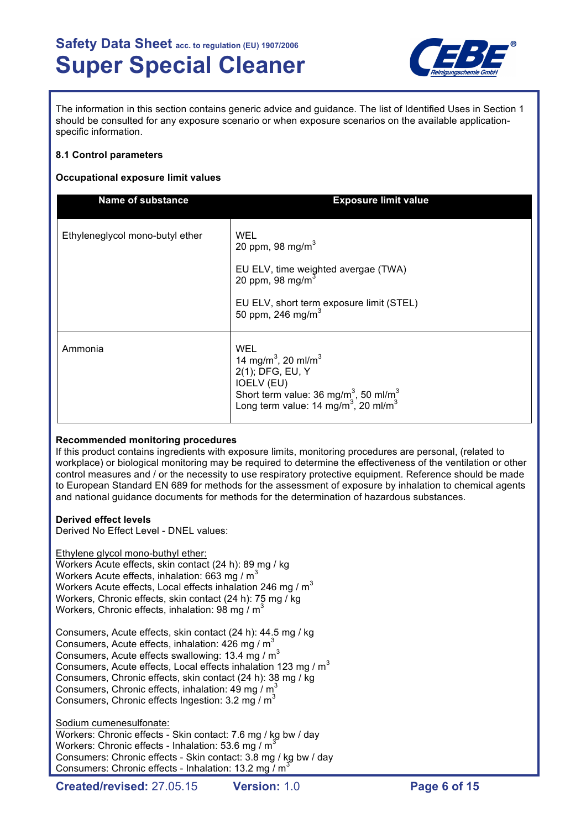

The information in this section contains generic advice and guidance. The list of Identified Uses in Section 1 should be consulted for any exposure scenario or when exposure scenarios on the available applicationspecific information.

### **8.1 Control parameters**

### **Occupational exposure limit values**

| <b>Name of substance</b>        | <b>Exposure limit value</b>                                                                                                                                                                                                  |
|---------------------------------|------------------------------------------------------------------------------------------------------------------------------------------------------------------------------------------------------------------------------|
| Ethyleneglycol mono-butyl ether | WEL<br>20 ppm, 98 mg/m $3$<br>EU ELV, time weighted avergae (TWA)<br>20 ppm, 98 mg/m $3$<br>EU ELV, short term exposure limit (STEL)<br>50 ppm, 246 mg/m <sup>3</sup>                                                        |
| Ammonia                         | WEL<br>14 mg/m <sup>3</sup> , 20 ml/m <sup>3</sup><br>2(1); DFG, EU, Y<br><b>IOELV (EU)</b><br>Short term value: 36 mg/m <sup>3</sup> , 50 ml/m <sup>3</sup><br>Long term value: 14 mg/m <sup>3</sup> , 20 ml/m <sup>3</sup> |

### **Recommended monitoring procedures**

If this product contains ingredients with exposure limits, monitoring procedures are personal, (related to workplace) or biological monitoring may be required to determine the effectiveness of the ventilation or other control measures and / or the necessity to use respiratory protective equipment. Reference should be made to European Standard EN 689 for methods for the assessment of exposure by inhalation to chemical agents and national guidance documents for methods for the determination of hazardous substances.

### **Derived effect levels**

Derived No Effect Level - DNEL values:

### Ethylene glycol mono-buthyl ether:

Workers Acute effects, skin contact (24 h): 89 mg / kg Workers Acute effects, inhalation: 663 mg /  $m<sup>3</sup>$ Workers Acute effects, Local effects inhalation 246 mg /  $m<sup>3</sup>$ Workers, Chronic effects, skin contact (24 h): 75 mg / kg Workers, Chronic effects, inhalation: 98 mg /  $m<sup>3</sup>$ 

Consumers, Acute effects, skin contact (24 h): 44.5 mg / kg Consumers, Acute effects, inhalation:  $426$  mg / m<sup>3</sup> Consumers, Acute effects swallowing: 13.4 mg / m<sup>3</sup> Consumers, Acute effects, Local effects inhalation 123 mg /  $m^3$ Consumers, Chronic effects, skin contact (24 h): 38 mg / kg Consumers, Chronic effects, inhalation: 49 mg /  $m^3$ Consumers, Chronic effects Ingestion:  $3.2 \text{ mg} / \text{m}^3$ 

### Sodium cumenesulfonate:

Workers: Chronic effects - Skin contact: 7.6 mg / kg bw / day Workers: Chronic effects - Inhalation: 53.6 mg /  $m^3$ Consumers: Chronic effects - Skin contact: 3.8 mg / kg bw / day Consumers: Chronic effects - Inhalation: 13.2 mg / m<sup>3</sup>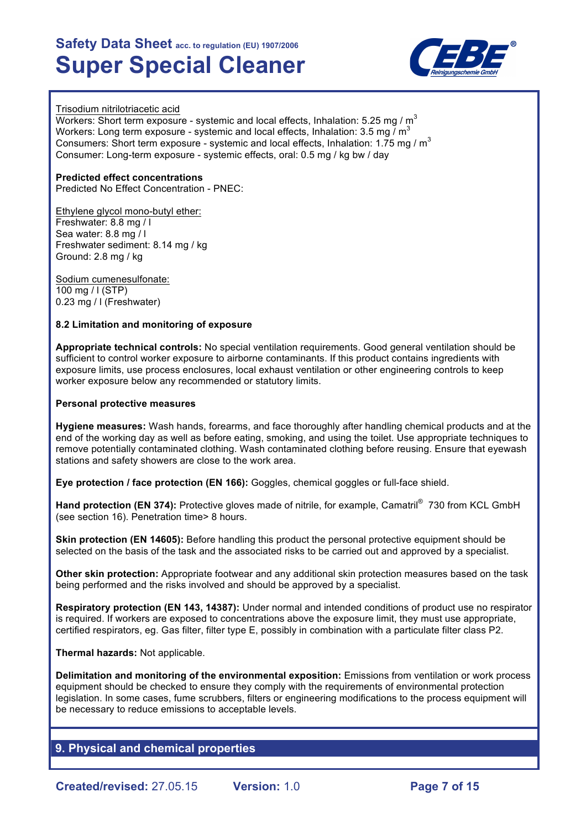

### Trisodium nitrilotriacetic acid

Workers: Short term exposure - systemic and local effects, Inhalation: 5.25 mg /  $m<sup>3</sup>$ Workers: Long term exposure - systemic and local effects, Inhalation: 3.5 mg  $\overline{I}$  m<sup>3</sup> Consumers: Short term exposure - systemic and local effects, Inhalation: 1.75 mg /  $m<sup>3</sup>$ Consumer: Long-term exposure - systemic effects, oral: 0.5 mg / kg bw / day

**Predicted effect concentrations** Predicted No Effect Concentration - PNEC:

Ethylene glycol mono-butyl ether: Freshwater: 8.8 mg / l Sea water: 8.8 mg / l Freshwater sediment: 8.14 mg / kg Ground: 2.8 mg / kg

Sodium cumenesulfonate: 100 mg / l (STP) 0.23 mg / l (Freshwater)

### **8.2 Limitation and monitoring of exposure**

**Appropriate technical controls:** No special ventilation requirements. Good general ventilation should be sufficient to control worker exposure to airborne contaminants. If this product contains ingredients with exposure limits, use process enclosures, local exhaust ventilation or other engineering controls to keep worker exposure below any recommended or statutory limits.

### **Personal protective measures**

**Hygiene measures:** Wash hands, forearms, and face thoroughly after handling chemical products and at the end of the working day as well as before eating, smoking, and using the toilet. Use appropriate techniques to remove potentially contaminated clothing. Wash contaminated clothing before reusing. Ensure that eyewash stations and safety showers are close to the work area.

**Eye protection / face protection (EN 166):** Goggles, chemical goggles or full-face shield.

**Hand protection (EN 374):** Protective gloves made of nitrile, for example, Camatril<sup>®</sup> 730 from KCL GmbH (see section 16). Penetration time> 8 hours.

**Skin protection (EN 14605):** Before handling this product the personal protective equipment should be selected on the basis of the task and the associated risks to be carried out and approved by a specialist.

**Other skin protection:** Appropriate footwear and any additional skin protection measures based on the task being performed and the risks involved and should be approved by a specialist.

**Respiratory protection (EN 143, 14387):** Under normal and intended conditions of product use no respirator is required. If workers are exposed to concentrations above the exposure limit, they must use appropriate, certified respirators, eg. Gas filter, filter type E, possibly in combination with a particulate filter class P2.

### **Thermal hazards:** Not applicable.

**Delimitation and monitoring of the environmental exposition:** Emissions from ventilation or work process equipment should be checked to ensure they comply with the requirements of environmental protection legislation. In some cases, fume scrubbers, filters or engineering modifications to the process equipment will be necessary to reduce emissions to acceptable levels.

## **9. Physical and chemical properties**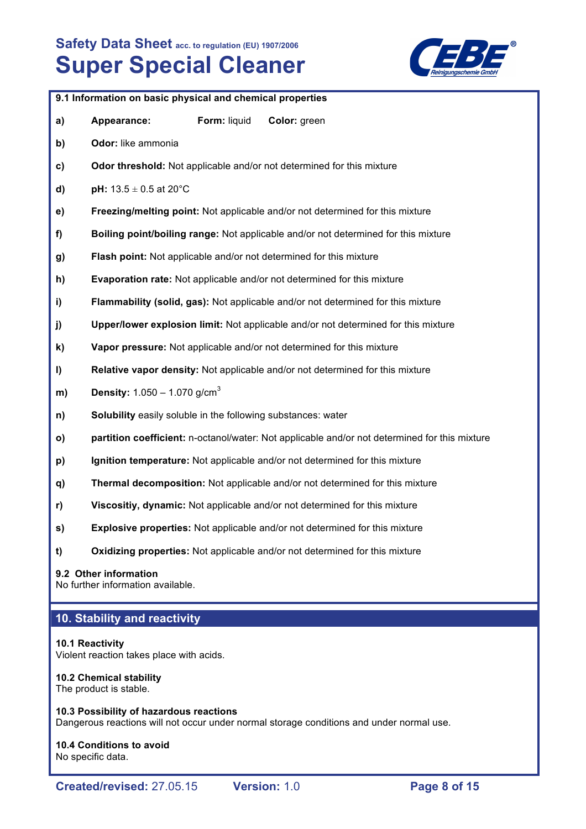

|              | 9.1 Information on basic physical and chemical properties           |              |                                                                                               |
|--------------|---------------------------------------------------------------------|--------------|-----------------------------------------------------------------------------------------------|
| a)           | Appearance:                                                         | Form: liquid | Color: green                                                                                  |
| b)           | Odor: like ammonia                                                  |              |                                                                                               |
| c)           |                                                                     |              | Odor threshold: Not applicable and/or not determined for this mixture                         |
| d)           | <b>pH:</b> $13.5 \pm 0.5$ at 20°C                                   |              |                                                                                               |
| e)           |                                                                     |              | Freezing/melting point: Not applicable and/or not determined for this mixture                 |
| f)           |                                                                     |              | Boiling point/boiling range: Not applicable and/or not determined for this mixture            |
| g)           |                                                                     |              | Flash point: Not applicable and/or not determined for this mixture                            |
| h)           |                                                                     |              | Evaporation rate: Not applicable and/or not determined for this mixture                       |
| i)           |                                                                     |              | Flammability (solid, gas): Not applicable and/or not determined for this mixture              |
| j)           |                                                                     |              | Upper/lower explosion limit: Not applicable and/or not determined for this mixture            |
| k)           |                                                                     |              | Vapor pressure: Not applicable and/or not determined for this mixture                         |
| I)           |                                                                     |              | Relative vapor density: Not applicable and/or not determined for this mixture                 |
| m)           | <b>Density:</b> $1.050 - 1.070$ g/cm <sup>3</sup>                   |              |                                                                                               |
| n)           | <b>Solubility</b> easily soluble in the following substances: water |              |                                                                                               |
| $\mathsf{o}$ |                                                                     |              | partition coefficient: n-octanol/water: Not applicable and/or not determined for this mixture |
| p)           |                                                                     |              | Ignition temperature: Not applicable and/or not determined for this mixture                   |
| q)           |                                                                     |              | Thermal decomposition: Not applicable and/or not determined for this mixture                  |
| r)           |                                                                     |              | Viscositiy, dynamic: Not applicable and/or not determined for this mixture                    |
| S)           |                                                                     |              | Explosive properties: Not applicable and/or not determined for this mixture                   |

**t) Oxidizing properties:** Not applicable and/or not determined for this mixture

#### **9.2 Other information**

No further information available.

## **10. Stability and reactivity**

### **10.1 Reactivity**

Violent reaction takes place with acids.

### **10.2 Chemical stability**

The product is stable.

**10.3 Possibility of hazardous reactions** Dangerous reactions will not occur under normal storage conditions and under normal use.

**10.4 Conditions to avoid** No specific data.

**Created/revised:** 27.05.15 **Version:** 1.0 **Page 8 of 15**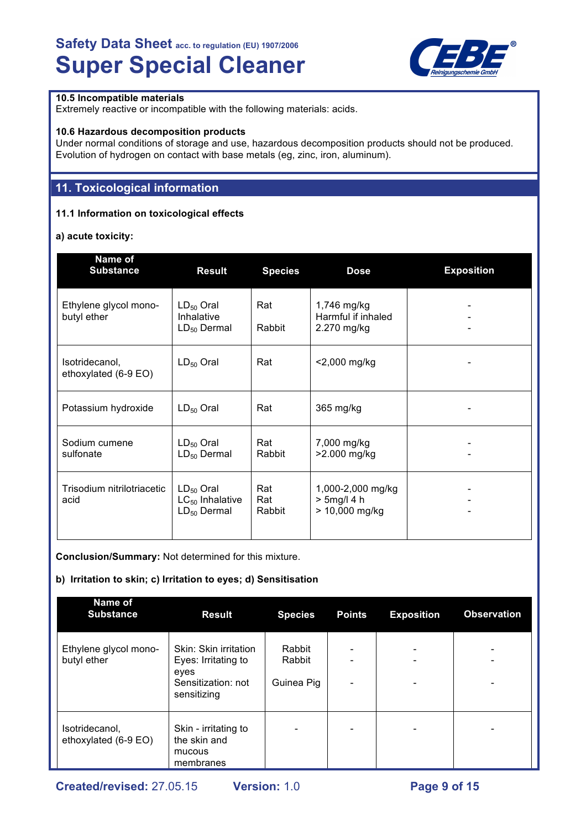

## **10.5 Incompatible materials**

Extremely reactive or incompatible with the following materials: acids.

### **10.6 Hazardous decomposition products**

Under normal conditions of storage and use, hazardous decomposition products should not be produced. Evolution of hydrogen on contact with base metals (eg, zinc, iron, aluminum).

# **11. Toxicological information**

### **11.1 Information on toxicological effects**

### **a) acute toxicity:**

| Name of<br><b>Substance</b>            | <b>Result</b>                                              | <b>Species</b>       | <b>Dose</b>                                           | <b>Exposition</b> |
|----------------------------------------|------------------------------------------------------------|----------------------|-------------------------------------------------------|-------------------|
| Ethylene glycol mono-<br>butyl ether   | $LD_{50}$ Oral<br>Inhalative<br>$LD_{50}$ Dermal           | Rat<br>Rabbit        | 1,746 mg/kg<br>Harmful if inhaled<br>2.270 mg/kg      |                   |
| Isotridecanol,<br>ethoxylated (6-9 EO) | $LD_{50}$ Oral                                             | Rat                  | <2,000 mg/kg                                          |                   |
| Potassium hydroxide                    | $LD_{50}$ Oral                                             | Rat                  | 365 mg/kg                                             |                   |
| Sodium cumene<br>sulfonate             | $LD_{50}$ Oral<br>$LD_{50}$ Dermal                         | Rat<br>Rabbit        | 7,000 mg/kg<br>>2.000 mg/kg                           |                   |
| Trisodium nitrilotriacetic<br>acid     | $LD_{50}$ Oral<br>$LC_{50}$ Inhalative<br>$LD_{50}$ Dermal | Rat<br>Rat<br>Rabbit | 1,000-2,000 mg/kg<br>$> 5$ mg/l 4 h<br>> 10,000 mg/kg |                   |

**Conclusion/Summary:** Not determined for this mixture.

### **b) Irritation to skin; c) Irritation to eyes; d) Sensitisation**

| <b>Name of</b><br><b>Substance</b>     | <b>Result</b>                                                                             | <b>Species</b>                 | <b>Points</b>                                            | <b>Exposition</b>             | <b>Observation</b>            |
|----------------------------------------|-------------------------------------------------------------------------------------------|--------------------------------|----------------------------------------------------------|-------------------------------|-------------------------------|
| Ethylene glycol mono-<br>butyl ether   | Skin: Skin irritation<br>Eyes: Irritating to<br>eyes<br>Sensitization: not<br>sensitizing | Rabbit<br>Rabbit<br>Guinea Pig | $\overline{\phantom{0}}$<br>$\qquad \qquad \blacksquare$ | -<br>$\overline{\phantom{0}}$ | $\overline{\phantom{0}}$<br>- |
| Isotridecanol,<br>ethoxylated (6-9 EO) | Skin - irritating to<br>the skin and<br>mucous<br>membranes                               |                                | $\overline{\phantom{0}}$                                 | $\overline{\phantom{0}}$      | $\overline{\phantom{0}}$      |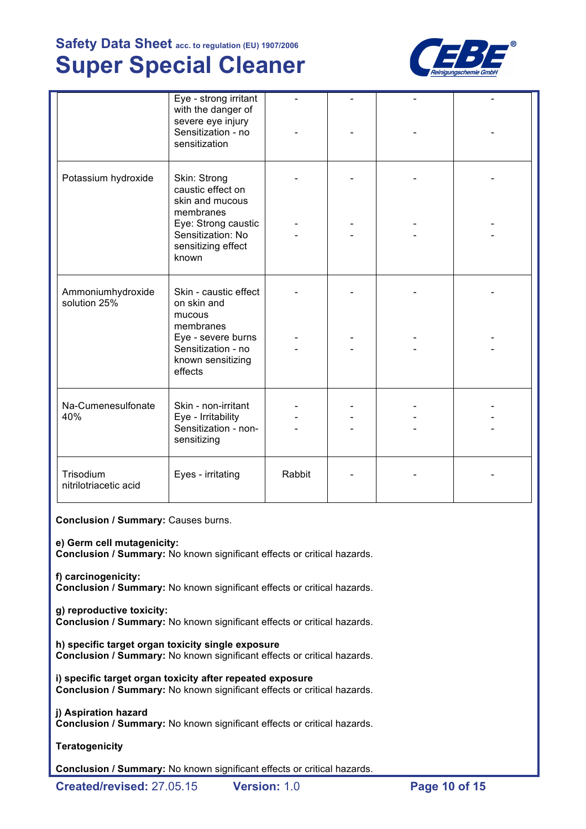

|                                    | Eye - strong irritant<br>with the danger of<br>severe eye injury<br>Sensitization - no<br>sensitization |        |  |  |
|------------------------------------|---------------------------------------------------------------------------------------------------------|--------|--|--|
| Potassium hydroxide                | Skin: Strong<br>caustic effect on<br>skin and mucous<br>membranes                                       |        |  |  |
|                                    | Eye: Strong caustic<br>Sensitization: No<br>sensitizing effect<br>known                                 |        |  |  |
| Ammoniumhydroxide<br>solution 25%  | Skin - caustic effect<br>on skin and<br>mucous                                                          |        |  |  |
|                                    | membranes<br>Eye - severe burns<br>Sensitization - no<br>known sensitizing<br>effects                   |        |  |  |
| Na-Cumenesulfonate<br>40%          | Skin - non-irritant<br>Eye - Irritability<br>Sensitization - non-<br>sensitizing                        |        |  |  |
| Trisodium<br>nitrilotriacetic acid | Eyes - irritating                                                                                       | Rabbit |  |  |

**Conclusion / Summary:** Causes burns.

### **e) Germ cell mutagenicity:**

**Conclusion / Summary:** No known significant effects or critical hazards.

**f) carcinogenicity: Conclusion / Summary:** No known significant effects or critical hazards.

### **g) reproductive toxicity: Conclusion / Summary:** No known significant effects or critical hazards.

**h) specific target organ toxicity single exposure Conclusion / Summary:** No known significant effects or critical hazards.

**i) specific target organ toxicity after repeated exposure Conclusion / Summary:** No known significant effects or critical hazards.

**j) Aspiration hazard**

**Conclusion / Summary:** No known significant effects or critical hazards.

**Teratogenicity**

**Conclusion / Summary:** No known significant effects or critical hazards.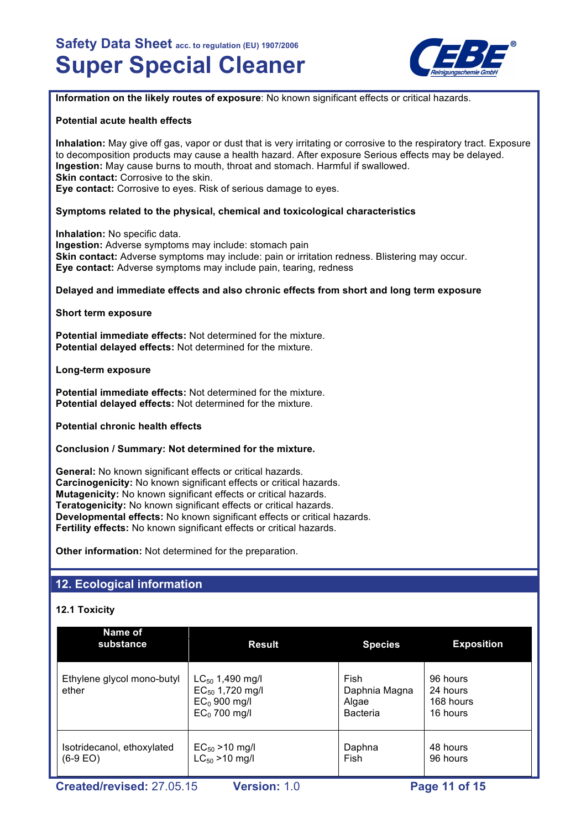

**Information on the likely routes of exposure**: No known significant effects or critical hazards.

### **Potential acute health effects**

**Inhalation:** May give off gas, vapor or dust that is very irritating or corrosive to the respiratory tract. Exposure to decomposition products may cause a health hazard. After exposure Serious effects may be delayed. **Ingestion:** May cause burns to mouth, throat and stomach. Harmful if swallowed. **Skin contact: Corrosive to the skin. Eye contact:** Corrosive to eyes. Risk of serious damage to eyes.

### **Symptoms related to the physical, chemical and toxicological characteristics**

**Inhalation:** No specific data. **Ingestion:** Adverse symptoms may include: stomach pain **Skin contact:** Adverse symptoms may include: pain or irritation redness. Blistering may occur. **Eye contact:** Adverse symptoms may include pain, tearing, redness

#### **Delayed and immediate effects and also chronic effects from short and long term exposure**

**Short term exposure**

**Potential immediate effects:** Not determined for the mixture. **Potential delayed effects:** Not determined for the mixture.

**Long-term exposure**

**Potential immediate effects:** Not determined for the mixture. **Potential delayed effects:** Not determined for the mixture.

**Potential chronic health effects**

#### **Conclusion / Summary: Not determined for the mixture.**

**General:** No known significant effects or critical hazards. **Carcinogenicity:** No known significant effects or critical hazards. **Mutagenicity:** No known significant effects or critical hazards. **Teratogenicity:** No known significant effects or critical hazards. **Developmental effects:** No known significant effects or critical hazards. **Fertility effects:** No known significant effects or critical hazards.

**Other information:** Not determined for the preparation.

## **12. Ecological information**

### **12.1 Toxicity**

| Name of<br>substance                     | <b>Result</b>                                                                    | <b>Species</b>                                    | <b>Exposition</b>                             |
|------------------------------------------|----------------------------------------------------------------------------------|---------------------------------------------------|-----------------------------------------------|
| Ethylene glycol mono-butyl<br>ether      | $LC_{50}$ 1,490 mg/l<br>$EC_{50}$ 1,720 mg/l<br>$EC0$ 900 mg/l<br>$EC0$ 700 mg/l | Fish<br>Daphnia Magna<br>Algae<br><b>Bacteria</b> | 96 hours<br>24 hours<br>168 hours<br>16 hours |
| Isotridecanol, ethoxylated<br>$(6-9 EO)$ | $EC_{50} > 10$ mg/l<br>$LC_{50} > 10$ mg/l                                       | Daphna<br>Fish                                    | 48 hours<br>96 hours                          |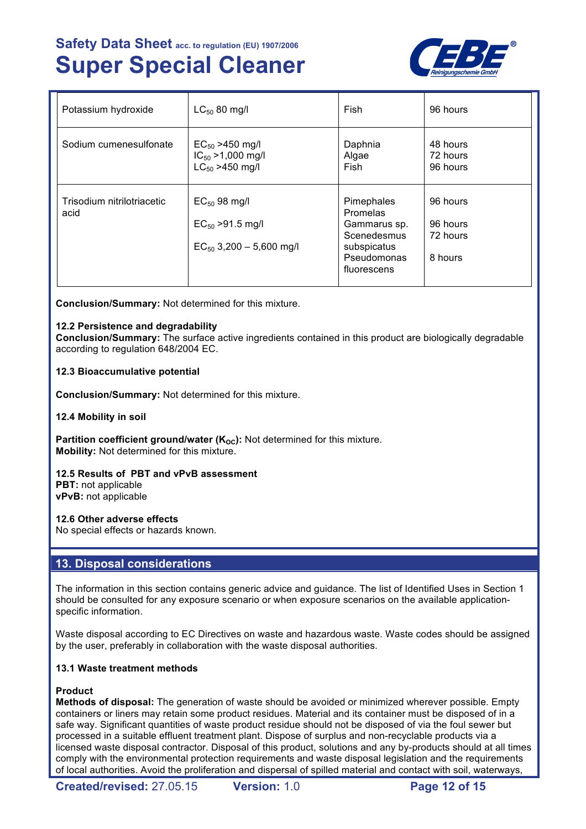

| Potassium hydroxide                | $LC_{50}$ 80 mg/l                                                          | Fish                                                                                               | 96 hours                                    |
|------------------------------------|----------------------------------------------------------------------------|----------------------------------------------------------------------------------------------------|---------------------------------------------|
| Sodium cumenesulfonate             | $EC_{50} > 450$ mg/l<br>$IC_{50} > 1,000$ mg/l<br>$LC_{50} > 450$ mg/l     | Daphnia<br>Algae<br>Fish                                                                           | 48 hours<br>72 hours<br>96 hours            |
| Trisodium nitrilotriacetic<br>acid | $EC_{50}$ 98 mg/l<br>$EC_{50} > 91.5$ mg/l<br>$EC_{50}$ 3,200 - 5,600 mg/l | Pimephales<br>Promelas<br>Gammarus sp.<br>Scenedesmus<br>subspicatus<br>Pseudomonas<br>fluorescens | 96 hours<br>96 hours<br>72 hours<br>8 hours |

**Conclusion/Summary:** Not determined for this mixture.

### **12.2 Persistence and degradability**

**Conclusion/Summary:** The surface active ingredients contained in this product are biologically degradable according to regulation 648/2004 EC.

### **12.3 Bioaccumulative potential**

**Conclusion/Summary:** Not determined for this mixture.

### **12.4 Mobility in soil**

**Partition coefficient ground/water (K<sub>OC</sub>):** Not determined for this mixture. **Mobility:** Not determined for this mixture.

**12.5 Results of PBT and vPvB assessment PBT:** not applicable

**vPvB:** not applicable

#### **12.6 Other adverse effects**

No special effects or hazards known.

## **13. Disposal considerations**

The information in this section contains generic advice and guidance. The list of Identified Uses in Section 1 should be consulted for any exposure scenario or when exposure scenarios on the available applicationspecific information.

Waste disposal according to EC Directives on waste and hazardous waste. Waste codes should be assigned by the user, preferably in collaboration with the waste disposal authorities.

#### **13.1 Waste treatment methods**

### **Product**

**Methods of disposal:** The generation of waste should be avoided or minimized wherever possible. Empty containers or liners may retain some product residues. Material and its container must be disposed of in a safe way. Significant quantities of waste product residue should not be disposed of via the foul sewer but processed in a suitable effluent treatment plant. Dispose of surplus and non-recyclable products via a licensed waste disposal contractor. Disposal of this product, solutions and any by-products should at all times comply with the environmental protection requirements and waste disposal legislation and the requirements of local authorities. Avoid the proliferation and dispersal of spilled material and contact with soil, waterways,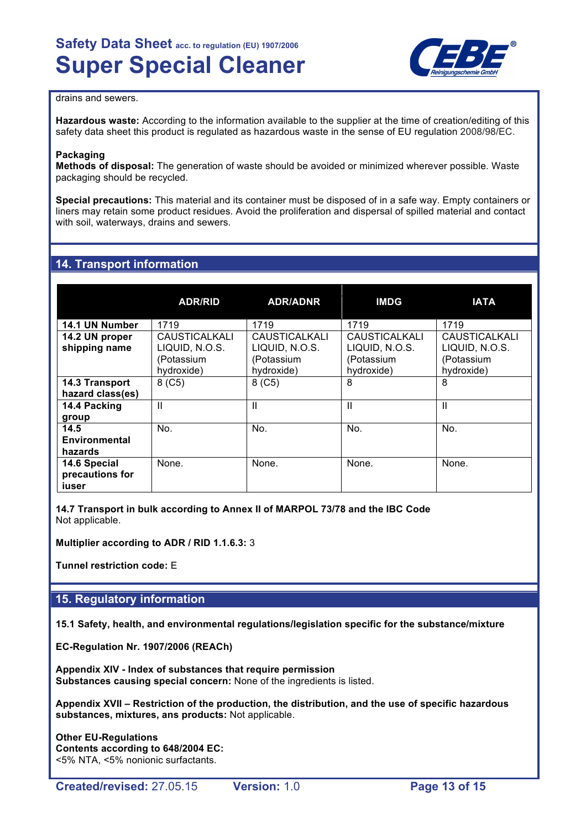

### drains and sewers.

**Hazardous waste:** According to the information available to the supplier at the time of creation/editing of this safety data sheet this product is regulated as hazardous waste in the sense of EU regulation 2008/98/EC.

#### **Packaging**

**Methods of disposal:** The generation of waste should be avoided or minimized wherever possible. Waste packaging should be recycled.

**Special precautions:** This material and its container must be disposed of in a safe way. Empty containers or liners may retain some product residues. Avoid the proliferation and dispersal of spilled material and contact with soil, waterways, drains and sewers.

## **14. Transport information**

|                                          | <b>ADR/RID</b>                                                     | <b>ADR/ADNR</b>                                                    | <b>IMDG</b>                                                        | <b>IATA</b>                                                        |
|------------------------------------------|--------------------------------------------------------------------|--------------------------------------------------------------------|--------------------------------------------------------------------|--------------------------------------------------------------------|
| 14.1 UN Number                           | 1719                                                               | 1719                                                               | 1719                                                               | 1719                                                               |
| 14.2 UN proper<br>shipping name          | <b>CAUSTICALKALI</b><br>LIQUID, N.O.S.<br>(Potassium<br>hydroxide) | <b>CAUSTICALKALI</b><br>LIQUID, N.O.S.<br>(Potassium<br>hydroxide) | <b>CAUSTICALKALI</b><br>LIQUID, N.O.S.<br>(Potassium<br>hydroxide) | <b>CAUSTICALKALI</b><br>LIQUID, N.O.S.<br>(Potassium<br>hydroxide) |
| 14.3 Transport<br>hazard class(es)       | 8 (C5)                                                             | 8 (C5)                                                             | 8                                                                  | 8                                                                  |
| 14.4 Packing<br>group                    | Ш                                                                  | $\mathbf{H}$                                                       | Ш                                                                  | $\mathbf{I}$                                                       |
| 14.5<br>Environmental<br>hazards         | No.                                                                | No.                                                                | No.                                                                | No.                                                                |
| 14.6 Special<br>precautions for<br>iuser | None.                                                              | None.                                                              | None.                                                              | None.                                                              |

**14.7 Transport in bulk according to Annex II of MARPOL 73/78 and the IBC Code** Not applicable.

**Multiplier according to ADR / RID 1.1.6.3:** 3

**Tunnel restriction code:** E

## **15. Regulatory information**

**15.1 Safety, health, and environmental regulations/legislation specific for the substance/mixture**

**EC-Regulation Nr. 1907/2006 (REACh)**

**Appendix XIV - Index of substances that require permission Substances causing special concern:** None of the ingredients is listed.

**Appendix XVII – Restriction of the production, the distribution, and the use of specific hazardous substances, mixtures, ans products:** Not applicable.

**Other EU-Regulations Contents according to 648/2004 EC:** <5% NTA, <5% nonionic surfactants.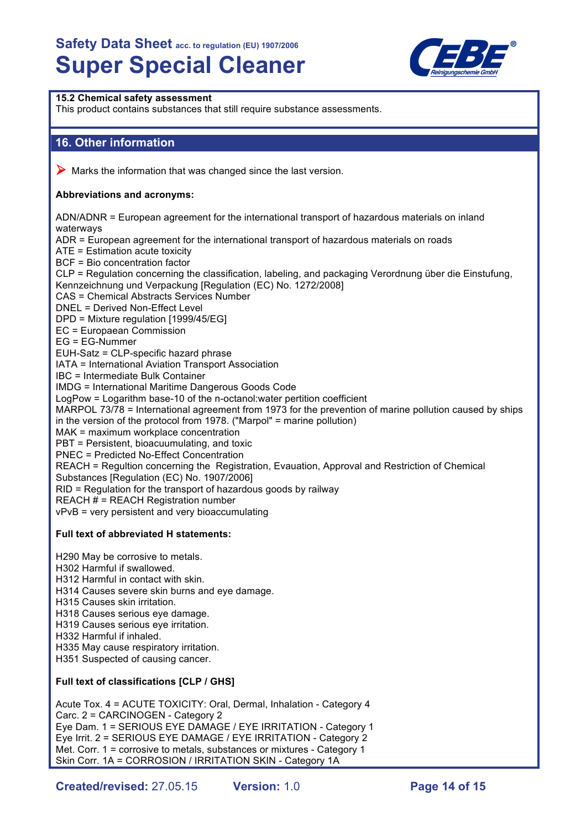

## **15.2 Chemical safety assessment** This product contains substances that still require substance assessments. **16. Other information**  $\triangleright$  Marks the information that was changed since the last version. **Abbreviations and acronyms:** ADN/ADNR = European agreement for the international transport of hazardous materials on inland waterways ADR = European agreement for the international transport of hazardous materials on roads ATE = Estimation acute toxicity BCF = Bio concentration factor CLP = Regulation concerning the classification, labeling, and packaging Verordnung über die Einstufung, Kennzeichnung und Verpackung [Regulation (EC) No. 1272/2008] CAS = Chemical Abstracts Services Number DNEL = Derived Non-Effect Level DPD = Mixture regulation [1999/45/EG] EC = Europaean Commission EG = EG-Nummer EUH-Satz = CLP-specific hazard phrase IATA = International Aviation Transport Association IBC = Intermediate Bulk Container IMDG = International Maritime Dangerous Goods Code LogPow = Logarithm base-10 of the n-octanol:water pertition coefficient MARPOL 73/78 = International agreement from 1973 for the prevention of marine pollution caused by ships in the version of the protocol from 1978. ("Marpol" = marine pollution) MAK = maximum workplace concentration PBT = Persistent, bioacuumulating, and toxic PNEC = Predicted No-Effect Concentration REACH = Regultion concerning the Registration, Evauation, Approval and Restriction of Chemical Substances [Regulation (EC) No. 1907/2006] RID = Regulation for the transport of hazardous goods by railway REACH # = REACH Registration number vPvB = very persistent and very bioaccumulating **Full text of abbreviated H statements:** H290 May be corrosive to metals. H302 Harmful if swallowed. H312 Harmful in contact with skin. H314 Causes severe skin burns and eye damage. H315 Causes skin irritation. H318 Causes serious eye damage. H319 Causes serious eye irritation. H332 Harmful if inhaled. H335 May cause respiratory irritation. H351 Suspected of causing cancer. **Full text of classifications [CLP / GHS]** Acute Tox. 4 = ACUTE TOXICITY: Oral, Dermal, Inhalation - Category 4 Carc. 2 = CARCINOGEN - Category 2 Eye Dam. 1 = SERIOUS EYE DAMAGE / EYE IRRITATION - Category 1

**Created/revised:** 27.05.15 **Version:** 1.0 **Page 14 of 15**

Eye Irrit. 2 = SERIOUS EYE DAMAGE / EYE IRRITATION - Category 2 Met. Corr. 1 = corrosive to metals, substances or mixtures - Category 1 Skin Corr. 1A = CORROSION / IRRITATION SKIN - Category 1A